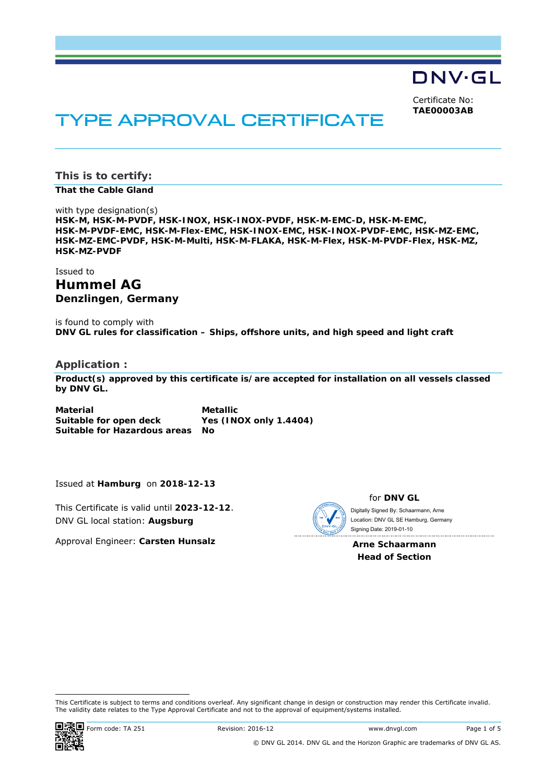DNV·GL

Certificate No: **TAE00003AB**

# TYPE APPROVAL CERTIFICATE

**This is to certify:** 

**That the Cable Gland**

with type designation(s) **HSK-M, HSK-M-PVDF, HSK-INOX, HSK-INOX-PVDF, HSK-M-EMC-D, HSK-M-EMC, HSK-M-PVDF-EMC, HSK-M-Flex-EMC, HSK-INOX-EMC, HSK-INOX-PVDF-EMC, HSK-MZ-EMC, HSK-MZ-EMC-PVDF, HSK-M-Multi, HSK-M-FLAKA, HSK-M-Flex, HSK-M-PVDF-Flex, HSK-MZ, HSK-MZ-PVDF** 

Issued to

**Hummel AG Denzlingen**, **Germany** 

is found to comply with **DNV GL rules for classification – Ships, offshore units, and high speed and light craft** 

**Application :** 

**Product(s) approved by this certificate is/are accepted for installation on all vessels classed by DNV GL.**

**Material Metallic Suitable for open deck Yes (INOX only 1.4404) Suitable for Hazardous areas No** 

Issued at **Hamburg** on **2018-12-13**

This Certificate is valid until **2023-12-12**. DNV GL local station: **Augsburg**

Approval Engineer: **Carsten Hunsalz**



for **DNV GL** Digitally Signed By: Schaarmann, Arne

 Signing Date: 2019-01-10 Location: DNV GL SE Hamburg, Germany

**Arne Schaarmann Head of Section** 

-

This Certificate is subject to terms and conditions overleaf. Any significant change in design or construction may render this Certificate invalid. The validity date relates to the Type Approval Certificate and not to the approval of equipment/systems installed.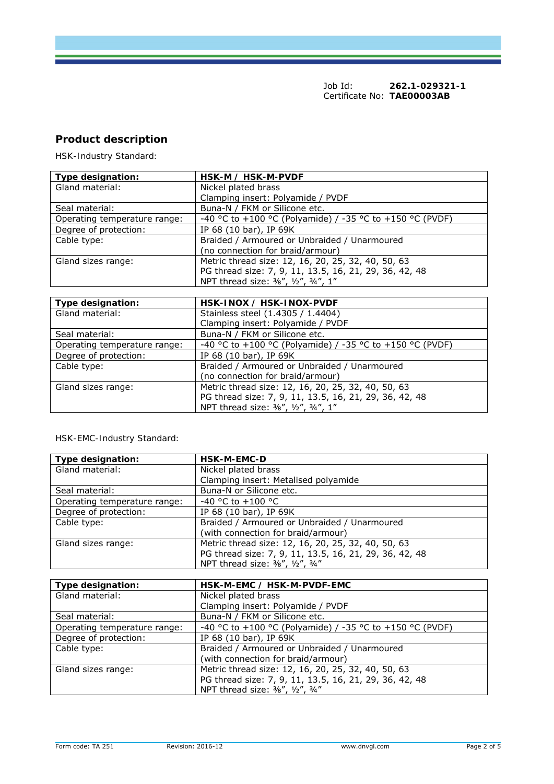## **Product description**

*HSK-Industry Standard:* 

| Type designation:            | HSK-M / HSK-M-PVDF                                       |
|------------------------------|----------------------------------------------------------|
| Gland material:              | Nickel plated brass                                      |
|                              | Clamping insert: Polyamide / PVDF                        |
| Seal material:               | Buna-N / FKM or Silicone etc.                            |
| Operating temperature range: | -40 °C to +100 °C (Polyamide) / -35 °C to +150 °C (PVDF) |
| Degree of protection:        | IP 68 (10 bar), IP 69K                                   |
| Cable type:                  | Braided / Armoured or Unbraided / Unarmoured             |
|                              | (no connection for braid/armour)                         |
| Gland sizes range:           | Metric thread size: 12, 16, 20, 25, 32, 40, 50, 63       |
|                              | PG thread size: 7, 9, 11, 13.5, 16, 21, 29, 36, 42, 48   |
|                              | NPT thread size: 3/8", 1/2", 3/4", 1"                    |

| Type designation:            | HSK-INOX / HSK-INOX-PVDF                                 |
|------------------------------|----------------------------------------------------------|
| Gland material:              | Stainless steel (1.4305 / 1.4404)                        |
|                              | Clamping insert: Polyamide / PVDF                        |
| Seal material:               | Buna-N / FKM or Silicone etc.                            |
| Operating temperature range: | -40 °C to +100 °C (Polyamide) / -35 °C to +150 °C (PVDF) |
| Degree of protection:        | IP 68 (10 bar), IP 69K                                   |
| Cable type:                  | Braided / Armoured or Unbraided / Unarmoured             |
|                              | (no connection for braid/armour)                         |
| Gland sizes range:           | Metric thread size: 12, 16, 20, 25, 32, 40, 50, 63       |
|                              | PG thread size: 7, 9, 11, 13.5, 16, 21, 29, 36, 42, 48   |
|                              | NPT thread size: 3/8", 1/2", 3/4", 1"                    |

#### *HSK-EMC-Industry Standard:*

| Type designation:            | <b>HSK-M-EMC-D</b>                                     |
|------------------------------|--------------------------------------------------------|
| Gland material:              | Nickel plated brass                                    |
|                              | Clamping insert: Metalised polyamide                   |
| Seal material:               | Buna-N or Silicone etc.                                |
| Operating temperature range: | $-40$ °C to $+100$ °C                                  |
| Degree of protection:        | IP 68 (10 bar), IP 69K                                 |
| Cable type:                  | Braided / Armoured or Unbraided / Unarmoured           |
|                              | (with connection for braid/armour)                     |
| Gland sizes range:           | Metric thread size: 12, 16, 20, 25, 32, 40, 50, 63     |
|                              | PG thread size: 7, 9, 11, 13.5, 16, 21, 29, 36, 42, 48 |
|                              | NPT thread size: 3/8", 1/2", 3/4"                      |

| Type designation:            | HSK-M-EMC / HSK-M-PVDF-EMC                               |
|------------------------------|----------------------------------------------------------|
| Gland material:              | Nickel plated brass                                      |
|                              | Clamping insert: Polyamide / PVDF                        |
| Seal material:               | Buna-N / FKM or Silicone etc.                            |
| Operating temperature range: | -40 °C to +100 °C (Polyamide) / -35 °C to +150 °C (PVDF) |
| Degree of protection:        | IP 68 (10 bar), IP 69K                                   |
| Cable type:                  | Braided / Armoured or Unbraided / Unarmoured             |
|                              | (with connection for braid/armour)                       |
| Gland sizes range:           | Metric thread size: 12, 16, 20, 25, 32, 40, 50, 63       |
|                              | PG thread size: 7, 9, 11, 13.5, 16, 21, 29, 36, 42, 48   |
|                              | NPT thread size: 3/8", 1/2", 3/4"                        |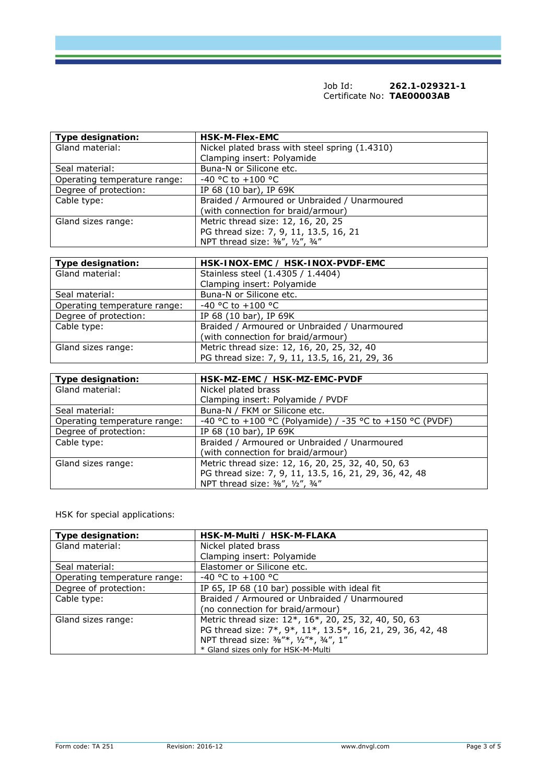| Type designation:            | <b>HSK-M-Flex-EMC</b>                          |
|------------------------------|------------------------------------------------|
| Gland material:              | Nickel plated brass with steel spring (1.4310) |
|                              | Clamping insert: Polyamide                     |
| Seal material:               | Buna-N or Silicone etc.                        |
| Operating temperature range: | $-40$ °C to $+100$ °C                          |
| Degree of protection:        | IP 68 (10 bar), IP 69K                         |
| Cable type:                  | Braided / Armoured or Unbraided / Unarmoured   |
|                              | (with connection for braid/armour)             |
| Gland sizes range:           | Metric thread size: 12, 16, 20, 25             |
|                              | PG thread size: 7, 9, 11, 13.5, 16, 21         |
|                              | NPT thread size: 3/8", 1/2", 3/4"              |
|                              |                                                |
| Toma deelmaattan.            | HER INOVITION AND LIGHT INOVIDUDE FMO          |

| Type designation:            | HSK-INOX-EMC / HSK-INOX-PVDF-EMC               |
|------------------------------|------------------------------------------------|
| Gland material:              | Stainless steel (1.4305 / 1.4404)              |
|                              | Clamping insert: Polyamide                     |
| Seal material:               | Buna-N or Silicone etc.                        |
| Operating temperature range: | $-40$ °C to $+100$ °C                          |
| Degree of protection:        | IP 68 (10 bar), IP 69K                         |
| Cable type:                  | Braided / Armoured or Unbraided / Unarmoured   |
|                              | (with connection for braid/armour)             |
| Gland sizes range:           | Metric thread size: 12, 16, 20, 25, 32, 40     |
|                              | PG thread size: 7, 9, 11, 13.5, 16, 21, 29, 36 |

| Type designation:            | HSK-MZ-EMC / HSK-MZ-EMC-PVDF                             |
|------------------------------|----------------------------------------------------------|
| Gland material:              | Nickel plated brass                                      |
|                              | Clamping insert: Polyamide / PVDF                        |
| Seal material:               | Buna-N / FKM or Silicone etc.                            |
| Operating temperature range: | -40 °C to +100 °C (Polyamide) / -35 °C to +150 °C (PVDF) |
| Degree of protection:        | IP 68 (10 bar), IP 69K                                   |
| Cable type:                  | Braided / Armoured or Unbraided / Unarmoured             |
|                              | (with connection for braid/armour)                       |
| Gland sizes range:           | Metric thread size: 12, 16, 20, 25, 32, 40, 50, 63       |
|                              | PG thread size: 7, 9, 11, 13.5, 16, 21, 29, 36, 42, 48   |
|                              | NPT thread size: 3/8", 1/2", 3/4"                        |

*HSK for special applications:* 

| Type designation:            | HSK-M-Multi / HSK-M-FLAKA                                  |
|------------------------------|------------------------------------------------------------|
| Gland material:              | Nickel plated brass                                        |
|                              | Clamping insert: Polyamide                                 |
| Seal material:               | Elastomer or Silicone etc.                                 |
| Operating temperature range: | $-40$ °C to $+100$ °C                                      |
| Degree of protection:        | IP 65, IP 68 (10 bar) possible with ideal fit              |
| Cable type:                  | Braided / Armoured or Unbraided / Unarmoured               |
|                              | (no connection for braid/armour)                           |
| Gland sizes range:           | Metric thread size: 12*, 16*, 20, 25, 32, 40, 50, 63       |
|                              | PG thread size: 7*, 9*, 11*, 13.5*, 16, 21, 29, 36, 42, 48 |
|                              | NPT thread size: 3/8"*, 1/2"*, 3/4", 1"                    |
|                              | * Gland sizes only for HSK-M-Multi                         |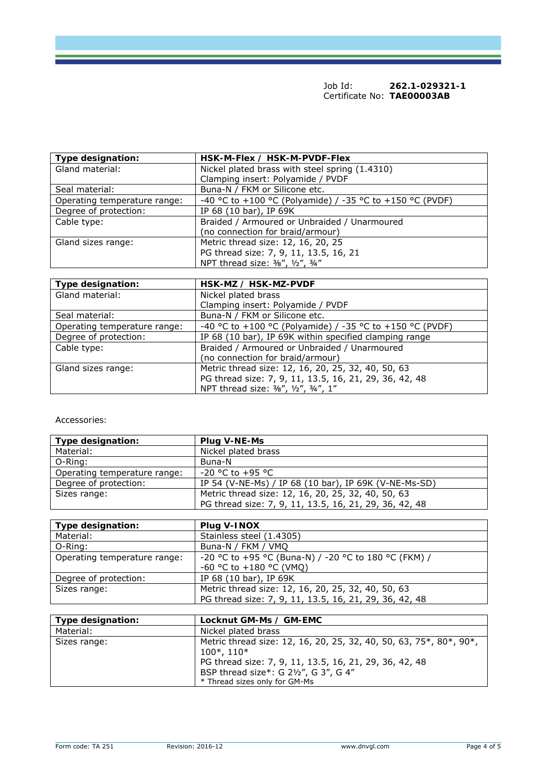| Type designation:            | HSK-M-Flex / HSK-M-PVDF-Flex                             |
|------------------------------|----------------------------------------------------------|
| Gland material:              | Nickel plated brass with steel spring (1.4310)           |
|                              | Clamping insert: Polyamide / PVDF                        |
| Seal material:               | Buna-N / FKM or Silicone etc.                            |
| Operating temperature range: | -40 °C to +100 °C (Polyamide) / -35 °C to +150 °C (PVDF) |
| Degree of protection:        | IP 68 (10 bar), IP 69K                                   |
| Cable type:                  | Braided / Armoured or Unbraided / Unarmoured             |
|                              | (no connection for braid/armour)                         |
| Gland sizes range:           | Metric thread size: 12, 16, 20, 25                       |
|                              | PG thread size: 7, 9, 11, 13.5, 16, 21                   |
|                              | NPT thread size: 3/8", 1/2", 3/4"                        |

| Type designation:            | HSK-MZ / HSK-MZ-PVDF                                     |
|------------------------------|----------------------------------------------------------|
| Gland material:              | Nickel plated brass                                      |
|                              | Clamping insert: Polyamide / PVDF                        |
| Seal material:               | Buna-N / FKM or Silicone etc.                            |
| Operating temperature range: | -40 °C to +100 °C (Polyamide) / -35 °C to +150 °C (PVDF) |
| Degree of protection:        | IP 68 (10 bar), IP 69K within specified clamping range   |
| Cable type:                  | Braided / Armoured or Unbraided / Unarmoured             |
|                              | (no connection for braid/armour)                         |
| Gland sizes range:           | Metric thread size: 12, 16, 20, 25, 32, 40, 50, 63       |
|                              | PG thread size: 7, 9, 11, 13.5, 16, 21, 29, 36, 42, 48   |
|                              | NPT thread size: 3/8", 1/2", 3/4", 1"                    |

*Accessories:* 

| Type designation:            | <b>Plug V-NE-Ms</b>                                    |
|------------------------------|--------------------------------------------------------|
| Material:                    | Nickel plated brass                                    |
| O-Ring:                      | Buna-N                                                 |
| Operating temperature range: | $-20$ °C to $+95$ °C                                   |
| Degree of protection:        | IP 54 (V-NE-Ms) / IP 68 (10 bar), IP 69K (V-NE-Ms-SD)  |
| Sizes range:                 | Metric thread size: 12, 16, 20, 25, 32, 40, 50, 63     |
|                              | PG thread size: 7, 9, 11, 13.5, 16, 21, 29, 36, 42, 48 |

| Type designation:            | Plug V-INOX                                            |
|------------------------------|--------------------------------------------------------|
| Material:                    | Stainless steel (1.4305)                               |
| O-Ring:                      | Buna-N / FKM / VMQ                                     |
| Operating temperature range: | -20 °C to +95 °C (Buna-N) / -20 °C to 180 °C (FKM) /   |
|                              | -60 °C to +180 °C (VMQ)                                |
| Degree of protection:        | IP 68 (10 bar), IP 69K                                 |
| Sizes range:                 | Metric thread size: 12, 16, 20, 25, 32, 40, 50, 63     |
|                              | PG thread size: 7, 9, 11, 13.5, 16, 21, 29, 36, 42, 48 |

| Type designation: | Locknut GM-Ms / GM-EMC                                                                                                                                                                                                      |
|-------------------|-----------------------------------------------------------------------------------------------------------------------------------------------------------------------------------------------------------------------------|
| Material:         | Nickel plated brass                                                                                                                                                                                                         |
| Sizes range:      | Metric thread size: 12, 16, 20, 25, 32, 40, 50, 63, 75*, 80*, 90*,<br>$100^*$ , $110^*$<br>PG thread size: 7, 9, 11, 13.5, 16, 21, 29, 36, 42, 48<br>BSP thread size*: G 21/2", G 3", G 4"<br>* Thread sizes only for GM-Ms |